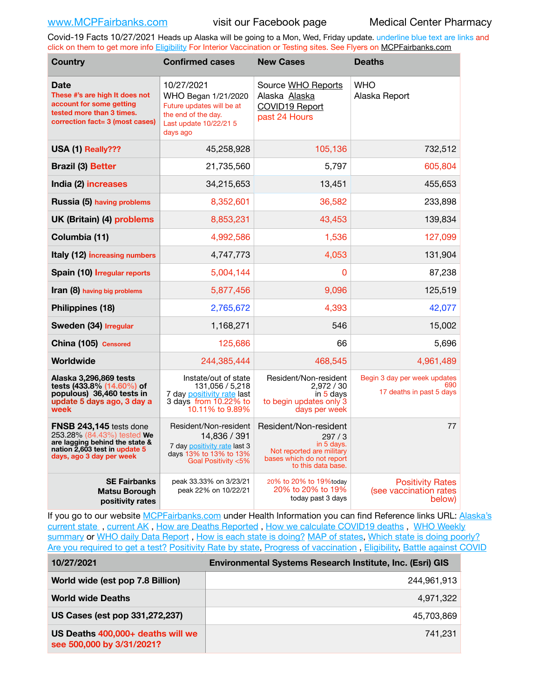Covid-19 Facts 10/27/2021 Heads up Alaska will be going to a Mon, Wed, Friday update. underline blue text are links and click on them to get more info [Eligibility](http://dhss.alaska.gov/dph/Epi/id/Pages/COVID-19/VaccineAvailability.aspx) For Interior Vaccination or Testing sites. See Flyers on [MCPFairbanks.com](http://www.MCPFairbanks.com)

| <b>Country</b>                                                                                                                                              | <b>Confirmed cases</b>                                                                                                      | <b>New Cases</b>                                                                                                             | <b>Deaths</b>                                                   |
|-------------------------------------------------------------------------------------------------------------------------------------------------------------|-----------------------------------------------------------------------------------------------------------------------------|------------------------------------------------------------------------------------------------------------------------------|-----------------------------------------------------------------|
| Date<br>These #'s are high It does not<br>account for some getting<br>tested more than 3 times.<br>correction fact= 3 (most cases)                          | 10/27/2021<br>WHO Began 1/21/2020<br>Future updates will be at<br>the end of the day.<br>Last update 10/22/21 5<br>days ago | Source WHO Reports<br>Alaska Alaska<br>COVID19 Report<br>past 24 Hours                                                       | <b>WHO</b><br>Alaska Report                                     |
| USA (1) Really???                                                                                                                                           | 45,258,928                                                                                                                  | 105,136                                                                                                                      | 732,512                                                         |
| <b>Brazil (3) Better</b>                                                                                                                                    | 21,735,560                                                                                                                  | 5,797                                                                                                                        | 605,804                                                         |
| India (2) increases                                                                                                                                         | 34,215,653                                                                                                                  | 13,451                                                                                                                       | 455,653                                                         |
| Russia (5) having problems                                                                                                                                  | 8,352,601                                                                                                                   | 36,582                                                                                                                       | 233,898                                                         |
| UK (Britain) (4) problems                                                                                                                                   | 8,853,231                                                                                                                   | 43,453                                                                                                                       | 139,834                                                         |
| Columbia (11)                                                                                                                                               | 4,992,586                                                                                                                   | 1,536                                                                                                                        | 127,099                                                         |
| Italy (12) increasing numbers                                                                                                                               | 4,747,773                                                                                                                   | 4,053                                                                                                                        | 131,904                                                         |
| Spain (10) Irregular reports                                                                                                                                | 5,004,144                                                                                                                   | $\Omega$                                                                                                                     | 87,238                                                          |
| Iran (8) having big problems                                                                                                                                | 5,877,456                                                                                                                   | 9,096                                                                                                                        | 125,519                                                         |
| Philippines (18)                                                                                                                                            | 2,765,672                                                                                                                   | 4,393                                                                                                                        | 42,077                                                          |
| Sweden (34) Irregular                                                                                                                                       | 1,168,271                                                                                                                   | 546                                                                                                                          | 15,002                                                          |
| China (105) Censored                                                                                                                                        | 125,686                                                                                                                     | 66                                                                                                                           | 5,696                                                           |
| Worldwide                                                                                                                                                   | 244.385.444                                                                                                                 | 468.545                                                                                                                      | 4,961,489                                                       |
| Alaska 3,296,869 tests<br>tests (433.8% (14.60%) of<br>populous) 36,460 tests in<br>update 5 days ago, 3 day a<br>week                                      | Instate/out of state<br>131,056 / 5,218<br>7 day positivity rate last<br>3 days from 10.22% to<br>10.11% to 9.89%           | Resident/Non-resident<br>2,972 / 30<br>in 5 days<br>to begin updates only 3<br>days per week                                 | Begin 3 day per week updates<br>690<br>17 deaths in past 5 days |
| <b>FNSB 243,145</b> tests done<br>253.28% (84.43%) tested We<br>are lagging behind the state &<br>nation 2,603 test in update 5<br>days, ago 3 day per week | Resident/Non-resident<br>14,836 / 391<br>7 day positivity rate last 3<br>days 13% to 13% to 13%<br>Goal Positivity <5%      | Resident/Non-resident<br>297/3<br>in 5 days.<br>Not reported are military<br>bases which do not report<br>to this data base. | 77                                                              |
| <b>SE Fairbanks</b><br><b>Matsu Borough</b><br>positivity rates                                                                                             | peak 33.33% on 3/23/21<br>peak 22% on 10/22/21                                                                              | 20% to 20% to 19%today<br>20% to 20% to 19%<br>today past 3 days                                                             | <b>Positivity Rates</b><br>(see vaccination rates<br>below)     |

If you go to our website [MCPFairbanks.com](http://www.MCPFairbanks.com) under Health Information you can find Reference links URL: Alaska's [current state](https://coronavirus-response-alaska-dhss.hub.arcgis.com) , [current AK](http://dhss.alaska.gov/dph/Epi/id/Pages/COVID-19/communications.aspx#cases) , [How are Deaths Reported](http://dhss.alaska.gov/dph/Epi/id/Pages/COVID-19/deathcounts.aspx) , [How we calculate COVID19 deaths](https://coronavirus-response-alaska-dhss.hub.arcgis.com/search?collection=Document&groupIds=41ccb3344ebc4bd682c74073eba21f42) , [WHO Weekly](http://www.who.int)  [summary](http://www.who.int) or [WHO daily Data Report](https://covid19.who.int/table), [How is each state is doing?](https://www.msn.com/en-us/news/us/state-by-state-coronavirus-news/ar-BB13E1PX?fbclid=IwAR0_OBJH7lSyTN3ug_MsOeFnNgB1orTa9OBgilKJ7dhnwlVvHEsptuKkj1c) [MAP of states,](https://www.nationalgeographic.com/science/graphics/graphic-tracking-coronavirus-infections-us?cmpid=org=ngp::mc=crm-email::src=ngp::cmp=editorial::add=SpecialEdition_20210305&rid=B9A6DF5992658E8E35CE023113CFEA4C) [Which state is doing poorly?](https://bestlifeonline.com/covid-outbreak-your-state/?utm_source=nsltr&utm_medium=email&utm_content=covid-outbreak-your-state&utm_campaign=launch) [Are you required to get a test?](http://dhss.alaska.gov/dph/Epi/id/SiteAssets/Pages/HumanCoV/Whattodoafteryourtest.pdf) [Positivity Rate by state](https://coronavirus.jhu.edu/testing/individual-states/alaska), Progress of vaccination, [Eligibility,](http://dhss.alaska.gov/dph/Epi/id/Pages/COVID-19/VaccineAvailability.aspx) [Battle against COVID](https://www.nationalgeographic.com/science/graphics/graphic-tracking-coronavirus-infections-us?cmpid=org=ngp::mc=crm-email::src=ngp::cmp=editorial::add=SpecialEdition_20210219&rid=B9A6DF5992658E8E35CE023113CFEA4C)

| 10/27/2021                                                     | <b>Environmental Systems Research Institute, Inc. (Esri) GIS</b> |  |
|----------------------------------------------------------------|------------------------------------------------------------------|--|
| World wide (est pop 7.8 Billion)                               | 244,961,913                                                      |  |
| <b>World wide Deaths</b>                                       | 4,971,322                                                        |  |
| US Cases (est pop 331,272,237)                                 | 45.703.869                                                       |  |
| US Deaths 400,000+ deaths will we<br>see 500,000 by 3/31/2021? | 741.231                                                          |  |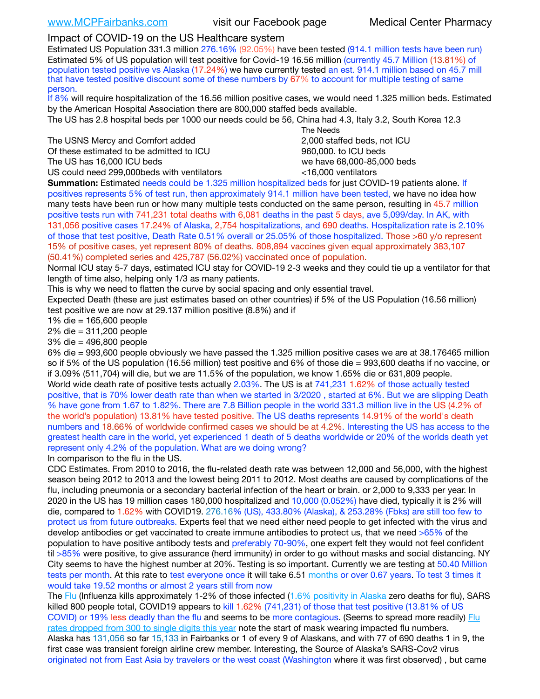## Impact of COVID-19 on the US Healthcare system

Estimated US Population 331.3 million 276.16% (92.05%) have been tested (914.1 million tests have been run) Estimated 5% of US population will test positive for Covid-19 16.56 million (currently 45.7 Million (13.81%) of population tested positive vs Alaska (17.24%) we have currently tested an est. 914.1 million based on 45.7 mill that have tested positive discount some of these numbers by 67% to account for multiple testing of same person.

If 8% will require hospitalization of the 16.56 million positive cases, we would need 1.325 million beds. Estimated by the American Hospital Association there are 800,000 staffed beds available.

The US has 2.8 hospital beds per 1000 our needs could be 56, China had 4.3, Italy 3.2, South Korea 12.3

The USNS Mercy and Comfort added 2,000 staffed beds, not ICU Of these estimated to be admitted to ICU 860,000. to ICU beds The US has 16,000 ICU beds we have 68,000-85,000 beds

US could need 299,000 beds with ventilators  $\leq 16,000$  ventilators

 The Needs

**Summation:** Estimated needs could be 1.325 million hospitalized beds for just COVID-19 patients alone. If positives represents 5% of test run, then approximately 914.1 million have been tested, we have no idea how many tests have been run or how many multiple tests conducted on the same person, resulting in 45.7 million positive tests run with 741,231 total deaths with 6,081 deaths in the past 5 days, ave 5,099/day. In AK, with 131,056 positive cases 17.24% of Alaska, 2,754 hospitalizations, and 690 deaths. Hospitalization rate is 2.10% of those that test positive, Death Rate 0.51% overall or 25.05% of those hospitalized. Those >60 y/o represent 15% of positive cases, yet represent 80% of deaths. 808,894 vaccines given equal approximately 383,107 (50.41%) completed series and 425,787 (56.02%) vaccinated once of population.

Normal ICU stay 5-7 days, estimated ICU stay for COVID-19 2-3 weeks and they could tie up a ventilator for that length of time also, helping only 1/3 as many patients.

This is why we need to flatten the curve by social spacing and only essential travel.

Expected Death (these are just estimates based on other countries) if 5% of the US Population (16.56 million) test positive we are now at 29.137 million positive (8.8%) and if

1% die = 165,600 people

2% die = 311,200 people

3% die = 496,800 people

6% die = 993,600 people obviously we have passed the 1.325 million positive cases we are at 38.176465 million so if 5% of the US population (16.56 million) test positive and 6% of those die = 993,600 deaths if no vaccine, or if 3.09% (511,704) will die, but we are 11.5% of the population, we know 1.65% die or 631,809 people. World wide death rate of positive tests actually 2.03%. The US is at 741,231 1.62% of those actually tested positive, that is 70% lower death rate than when we started in 3/2020 , started at 6%. But we are slipping Death % have gone from 1.67 to 1.82%. There are 7.8 Billion people in the world 331.3 million live in the US (4.2% of the world's population) 13.81% have tested positive. The US deaths represents 14.91% of the world's death numbers and 18.66% of worldwide confirmed cases we should be at 4.2%. Interesting the US has access to the greatest health care in the world, yet experienced 1 death of 5 deaths worldwide or 20% of the worlds death yet represent only 4.2% of the population. What are we doing wrong?

In comparison to the flu in the US.

CDC Estimates. From 2010 to 2016, the flu-related death rate was between 12,000 and 56,000, with the highest season being 2012 to 2013 and the lowest being 2011 to 2012. Most deaths are caused by complications of the flu, including pneumonia or a secondary bacterial infection of the heart or brain. or 2,000 to 9,333 per year. In 2020 in the US has 19 million cases 180,000 hospitalized and 10,000 (0.052%) have died, typically it is 2% will die, compared to 1.62% with COVID19. 276.16% (US), 433.80% (Alaska), & 253.28% (Fbks) are still too few to protect us from future outbreaks. Experts feel that we need either need people to get infected with the virus and develop antibodies or get vaccinated to create immune antibodies to protect us, that we need >65% of the population to have positive antibody tests and preferably 70-90%, one expert felt they would not feel confident til >85% were positive, to give assurance (herd immunity) in order to go without masks and social distancing. NY City seems to have the highest number at 20%. Testing is so important. Currently we are testing at 50.40 Million tests per month. At this rate to test everyone once it will take 6.51 months or over 0.67 years. To test 3 times it would take 19.52 months or almost 2 years still from now

The [Flu](https://lnks.gd/l/eyJhbGciOiJIUzI1NiJ9.eyJidWxsZXRpbl9saW5rX2lkIjoxMDMsInVyaSI6ImJwMjpjbGljayIsImJ1bGxldGluX2lkIjoiMjAyMTAyMjYuMzYwNDA3NTEiLCJ1cmwiOiJodHRwczovL3d3dy5jZGMuZ292L2ZsdS93ZWVrbHkvb3ZlcnZpZXcuaHRtIn0.ePMA_hsZ-pTnhWSyg1gHvHWYTu2XceVOt0JejxvP1WE/s/500544915/br/98428119752-l) (Influenza kills approximately 1-2% of those infected ([1.6% positivity in Alaska](http://dhss.alaska.gov/dph/Epi/id/SiteAssets/Pages/influenza/trends/Snapshot.pdf) zero deaths for flu), SARS killed 800 people total, COVID19 appears to kill 1.62% (741,231) of those that test positive (13.81% of US COVID) or 19% less deadly than the flu and seems to be more contagious. (Seems to spread more readily) [Flu](https://lnks.gd/l/eyJhbGciOiJIUzI1NiJ9.eyJidWxsZXRpbl9saW5rX2lkIjoxMDEsInVyaSI6ImJwMjpjbGljayIsImJ1bGxldGluX2lkIjoiMjAyMTAyMjYuMzYwNDA3NTEiLCJ1cmwiOiJodHRwOi8vZGhzcy5hbGFza2EuZ292L2RwaC9FcGkvaWQvUGFnZXMvaW5mbHVlbnphL2ZsdWluZm8uYXNweCJ9.oOe3nt2fww6XpsNhb4FZfmtPfPa-irGaldpkURBJhSo/s/500544915/br/98428119752-l)  [rates dropped from 300 to single digits this year](https://lnks.gd/l/eyJhbGciOiJIUzI1NiJ9.eyJidWxsZXRpbl9saW5rX2lkIjoxMDEsInVyaSI6ImJwMjpjbGljayIsImJ1bGxldGluX2lkIjoiMjAyMTAyMjYuMzYwNDA3NTEiLCJ1cmwiOiJodHRwOi8vZGhzcy5hbGFza2EuZ292L2RwaC9FcGkvaWQvUGFnZXMvaW5mbHVlbnphL2ZsdWluZm8uYXNweCJ9.oOe3nt2fww6XpsNhb4FZfmtPfPa-irGaldpkURBJhSo/s/500544915/br/98428119752-l) note the start of mask wearing impacted flu numbers. Alaska has 131,056 so far 15,133 in Fairbanks or 1 of every 9 of Alaskans, and with 77 of 690 deaths 1 in 9, the first case was transient foreign airline crew member. Interesting, the Source of Alaska's SARS-Cov2 virus originated not from East Asia by travelers or the west coast (Washington where it was first observed) , but came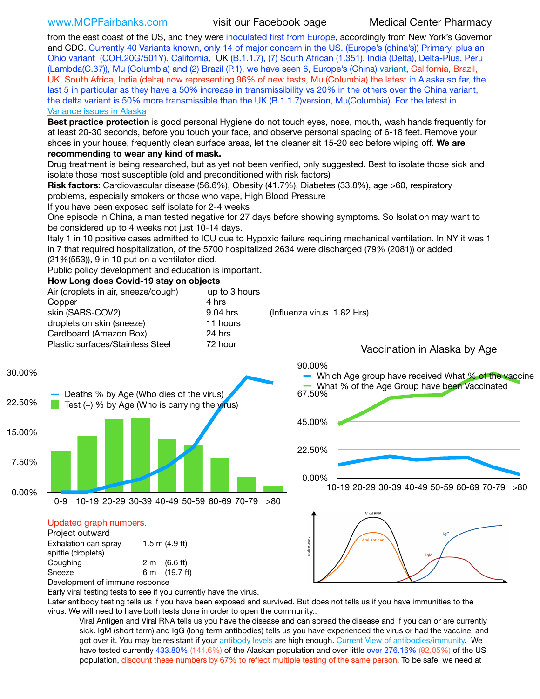[www.MCPFairbanks.com](http://www.MCPFairbanks.com) visit our Facebook page Medical Center Pharmacy

from the east coast of the US, and they were inoculated first from Europe, accordingly from New York's Governor and CDC. Currently 40 Variants known, only 14 of major concern in the US. (Europe's (china's)) Primary, plus an Ohio variant (COH.20G/501Y), California, [UK](https://www.cdc.gov/coronavirus/2019-ncov/transmission/variant-cases.html) (B.1.1.7), (7) South African (1.351), India (Delta), Delta-Plus, Peru (Lambda(C.37)), Mu (Columbia) and (2) Brazil (P.1), we have seen 6, Europe's (China) [variant,](https://www.webmd.com/lung/news/20210318/cdc-who-create-threat-levels-for-covid-variants?ecd=wnl_cvd_031921&ctr=wnl-cvd-031921&mb=kYbf7DsHb7YGjh/1RUkcAW0T6iorImAU1TDZh18RYs0=_Support_titleLink_2) California, Brazil, UK, South Africa, India (delta) now representing 96% of new tests, Mu (Columbia) the latest in Alaska so far, the last 5 in particular as they have a 50% increase in transmissibility vs 20% in the others over the China variant, the delta variant is 50% more transmissible than the UK (B.1.1.7) version, Mu(Columbia). For the latest in [Variance issues in Alaska](https://lnks.gd/l/eyJhbGciOiJIUzI1NiJ9.eyJidWxsZXRpbl9saW5rX2lkIjoxMDgsInVyaSI6ImJwMjpjbGljayIsImJ1bGxldGluX2lkIjoiMjAyMTA4MDUuNDQxMzM4NzEiLCJ1cmwiOiJodHRwOi8vZGhzcy5hbGFza2EuZ292L2RwaC9FcGkvaWQvc2l0ZWFzc2V0cy9wYWdlcy9odW1hbmNvdi9BS1NlcUNvbl9HZW5vbWljU2l0dWF0aW9uUmVwb3J0LnBkZiJ9.wjCZc7vYm_CIgdjPTJyJ9ehoQjtub_KeZLTKgTIA69A/s/500544915/br/110405970878-l)

**Best practice protection** is good personal Hygiene do not touch eyes, nose, mouth, wash hands frequently for at least 20-30 seconds, before you touch your face, and observe personal spacing of 6-18 feet. Remove your shoes in your house, frequently clean surface areas, let the cleaner sit 15-20 sec before wiping off. **We are recommending to wear any kind of mask.**

Drug treatment is being researched, but as yet not been verified, only suggested. Best to isolate those sick and isolate those most susceptible (old and preconditioned with risk factors)

**Risk factors:** Cardiovascular disease (56.6%), Obesity (41.7%), Diabetes (33.8%), age >60, respiratory problems, especially smokers or those who vape, High Blood Pressure

If you have been exposed self isolate for 2-4 weeks

One episode in China, a man tested negative for 27 days before showing symptoms. So Isolation may want to be considered up to 4 weeks not just 10-14 days.

Italy 1 in 10 positive cases admitted to ICU due to Hypoxic failure requiring mechanical ventilation. In NY it was 1 in 7 that required hospitalization, of the 5700 hospitalized 2634 were discharged (79% (2081)) or added

(21%(553)), 9 in 10 put on a ventilator died.

Public policy development and education is important.

**How Long does Covid-19 stay on objects**

|                 | Air (droplets in air, sneeze/cough)<br>Copper<br>skin (SARS-COV2)<br>droplets on skin (sneeze)<br>Cardboard (Amazon Box)<br>Plastic surfaces/Stainless Steel                                              | up to 3 hours<br>4 hrs<br>9.04 hrs<br>11 hours<br>24 hrs<br>72 hour | (Influenza virus 1.82 Hrs)<br>Vaccination in Alaska by Age                                                    |
|-----------------|-----------------------------------------------------------------------------------------------------------------------------------------------------------------------------------------------------------|---------------------------------------------------------------------|---------------------------------------------------------------------------------------------------------------|
| 30.00%          |                                                                                                                                                                                                           |                                                                     | 90.00%<br>Which Age group have received What % of the vaccine<br>What % of the Age Group have been Vaccinated |
| 22.50%          | Deaths % by Age (Who dies of the virus)<br>Test (+) % by Age (Who is carrying the virus)                                                                                                                  |                                                                     | 67.50%                                                                                                        |
| 15.00%<br>7.50% |                                                                                                                                                                                                           |                                                                     | 45.00%<br>22.50%                                                                                              |
| 0.00%           | 10-19 20-29 30-39 40-49 50-59 60-69 70-79<br>$0 - 9$                                                                                                                                                      | >80                                                                 | 0.00%<br>10-19 20-29 30-39 40-49 50-59 60-69 70-79 >80                                                        |
|                 | Updated graph numbers.<br>Project outward<br>Exhalation can spray<br>1.5 m $(4.9$ ft)<br>spittle (droplets)<br>2 m (6.6 ft)<br>Coughing<br>Sneeze<br>6 m (19.7 ft)<br>ممتحدثا المتلحق والمتحدث والمتنادحا |                                                                     | <b>Viral RNA</b><br><b>Viral Antiger</b><br><b>IqM</b>                                                        |

Development of immune response

Early viral testing tests to see if you currently have the virus.

Later antibody testing tells us if you have been exposed and survived. But does not tells us if you have immunities to the virus. We will need to have both tests done in order to open the community..

Viral Antigen and Viral RNA tells us you have the disease and can spread the disease and if you can or are currently sick. IgM (short term) and IgG (long term antibodies) tells us you have experienced the virus or had the vaccine, and got over it. You may be resistant if your [antibody levels](https://www.cdc.gov/coronavirus/2019-ncov/lab/resources/antibody-tests.html) are high enough. [Current](https://l.facebook.com/l.php?u=https://www.itv.com/news/2020-10-26/covid-19-antibody-levels-reduce-over-time-study-finds?fbclid=IwAR3Dapzh1qIH1EIOdUQI2y8THf7jfA4KBCaJz8Qg-8xe1YsrR4nsAHDIXSY&h=AT30nut8pkqp0heVuz5W2rT2WFFm-2Ab52BsJxZZCNlGsX58IpPkuVEPULbIUV_M16MAukx1Kwb657DPXxsgDN1rpOQ4gqBtQsmVYiWpnHPJo2RQsU6CPMd14lgLnQnFWxfVi6zvmw&__tn__=-UK-R&c%5B0%5D=AT1GaRAfR_nGAyqcn7TI1-PpvqOqEKXHnz6TDWvRStMnOSH7boQDvTiwTOc6VId9UES6LKiOmm2m88wKCoolkJyOFvakt2Z1Mw8toYWGGoWW23r0MNVBl7cYJXB_UOvGklNHaNnaNr1_S7NhT3BSykNOBg) [View of antibodies/immunity](https://www.livescience.com/antibodies.html)[.](https://www.itv.com/news/2020-10-26/covid-19-antibody-levels-reduce-over-time-study-finds) We have tested currently 433.80% (144.6%) of the Alaskan population and over little over 276.16% (92.05%) of the US population, discount these numbers by 67% to reflect multiple testing of the same person. To be safe, we need at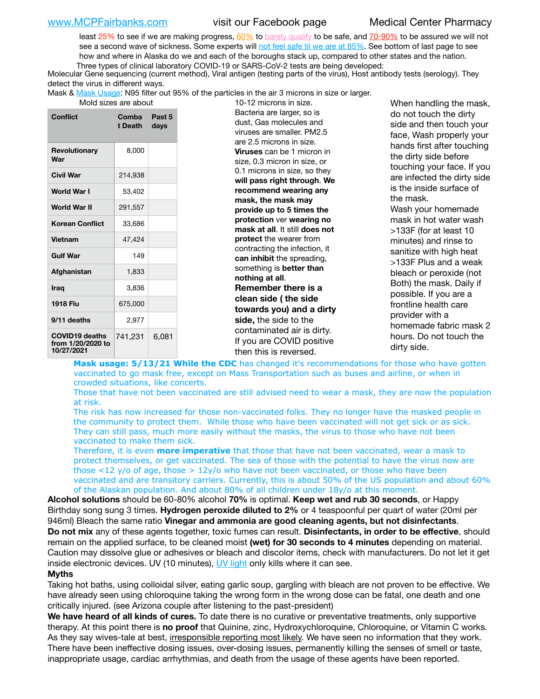least 25% to see if we are making progress, [60%](https://www.jhsph.edu/covid-19/articles/achieving-herd-immunity-with-covid19.html) to [barely qualify](https://www.nature.com/articles/d41586-020-02948-4) to be safe, and [70-90%](https://www.mayoclinic.org/herd-immunity-and-coronavirus/art-20486808) to be assured we will not see a second wave of sickness. Some experts will [not feel safe til we are at 85%](https://www.bannerhealth.com/healthcareblog/teach-me/what-is-herd-immunity). See bottom of last page to see how and where in Alaska do we and each of the boroughs stack up, compared to other states and the nation. Three types of clinical laboratory COVID-19 or SARS-CoV-2 tests are being developed:

Molecular Gene sequencing (current method), Viral antigen (testing parts of the virus), Host antibody tests (serology). They detect the virus in different ways.

Mask & [Mask Usage:](https://www.nationalgeographic.com/history/2020/03/how-cities-flattened-curve-1918-spanish-flu-pandemic-coronavirus/) N95 filter out 95% of the particles in the air 3 microns in size or larger.<br>19.19 misraps in size

| iviulu sizes die duuut                                   |                         |                |  |  |  |  |
|----------------------------------------------------------|-------------------------|----------------|--|--|--|--|
| Conflict                                                 | <b>Comba</b><br>t Death | Past 5<br>days |  |  |  |  |
| <b>Revolutionary</b><br>War                              | 8,000                   |                |  |  |  |  |
| Civil War                                                | 214,938                 |                |  |  |  |  |
| World War I                                              | 53,402                  |                |  |  |  |  |
| World War II                                             | 291,557                 |                |  |  |  |  |
| <b>Korean Conflict</b>                                   | 33,686                  |                |  |  |  |  |
| <b>Vietnam</b>                                           | 47,424                  |                |  |  |  |  |
| <b>Gulf War</b>                                          | 149                     |                |  |  |  |  |
| Afghanistan                                              | 1,833                   |                |  |  |  |  |
| Iraq                                                     | 3,836                   |                |  |  |  |  |
| 1918 Flu                                                 | 675,000                 |                |  |  |  |  |
| 9/11 deaths                                              | 2,977                   |                |  |  |  |  |
| <b>COVID19 deaths</b><br>from 1/20/2020 to<br>10/27/2021 | 741,231                 | 6,081          |  |  |  |  |

10-12 microns in size. Bacteria are larger, so is dust, Gas molecules and viruses are smaller. PM2.5 are 2.5 microns in size. **Viruses** can be 1 micron in size, 0.3 micron in size, or 0.1 microns in size, so they **will pass right through**. **We recommend wearing any mask, the mask may provide up to 5 times the protection** ver **wearing no mask at all**. It still **does not protect** the wearer from contracting the infection, it **can inhibit** the spreading, something is **better than nothing at all**. **Remember there is a clean side ( the side towards you) and a dirty side,** the side to the contaminated air is dirty. If you are COVID positive then this is reversed.

When handling the mask, do not touch the dirty side and then touch your face, Wash properly your hands first after touching the dirty side before touching your face. If you are infected the dirty side is the inside surface of the mask. Wash your homemade mask in hot water wash >133F (for at least 10 minutes) and rinse to sanitize with high heat >133F Plus and a weak bleach or peroxide (not Both) the mask. Daily if possible. If you are a frontline health care provider with a homemade fabric mask 2 hours. Do not touch the dirty side.

**Mask usage: 5/13/21 While the CDC** has changed it's recommendations for those who have gotten vaccinated to go mask free, except on Mass Transportation such as buses and airline, or when in crowded situations, like concerts.

Those that have not been vaccinated are still advised need to wear a mask, they are now the population at risk.

The risk has now increased for those non-vaccinated folks. They no longer have the masked people in the community to protect them. While those who have been vaccinated will not get sick or as sick. They can still pass, much more easily without the masks, the virus to those who have not been vaccinated to make them sick.

Therefore, it is even **more imperative** that those that have not been vaccinated, wear a mask to protect themselves, or get vaccinated. The sea of those with the potential to have the virus now are those <12 y/o of age, those >  $12y$ /o who have not been vaccinated, or those who have been vaccinated and are transitory carriers. Currently, this is about 50% of the US population and about 60% of the Alaskan population. And about 80% of all children under 18y/o at this moment.

**Alcohol solutions** should be 60-80% alcohol **70%** is optimal. **Keep wet and rub 30 seconds**, or Happy Birthday song sung 3 times. **Hydrogen peroxide diluted to 2%** or 4 teaspoonful per quart of water (20ml per 946ml) Bleach the same ratio **Vinegar and ammonia are good cleaning agents, but not disinfectants**. **Do not mix** any of these agents together, toxic fumes can result. **Disinfectants, in order to be effective**, should remain on the applied surface, to be cleaned moist **(wet) for 30 seconds to 4 minutes** depending on material. Caution may dissolve glue or adhesives or bleach and discolor items, check with manufacturers. Do not let it get inside electronic devices. UV (10 minutes), [UV light](http://www.docreviews.me/best-uv-boxes-2020/?fbclid=IwAR3bvFtXB48OoBBSvYvTEnKuHNPbipxM6jUo82QUSw9wckxjC7wwRZWabGw) only kills where it can see.

### **Myths**

Taking hot baths, using colloidal silver, eating garlic soup, gargling with bleach are not proven to be effective. We have already seen using chloroquine taking the wrong form in the wrong dose can be fatal, one death and one critically injured. (see Arizona couple after listening to the past-president)

**We have heard of all kinds of cures.** To date there is no curative or preventative treatments, only supportive therapy. At this point there is **no proof** that Quinine, zinc, Hydroxychloroquine, Chloroquine, or Vitamin C works. As they say wives-tale at best, irresponsible reporting most likely. We have seen no information that they work. There have been ineffective dosing issues, over-dosing issues, permanently killing the senses of smell or taste, inappropriate usage, cardiac arrhythmias, and death from the usage of these agents have been reported.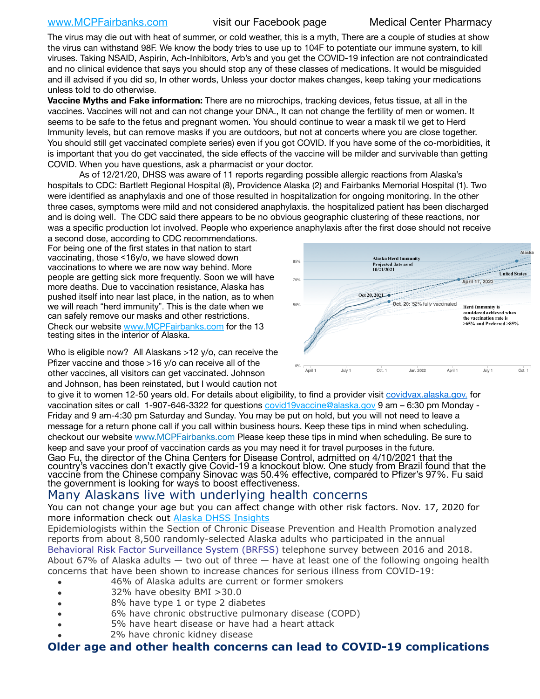## [www.MCPFairbanks.com](http://www.MCPFairbanks.com) visit our Facebook page Medical Center Pharmacy

The virus may die out with heat of summer, or cold weather, this is a myth, There are a couple of studies at show the virus can withstand 98F. We know the body tries to use up to 104F to potentiate our immune system, to kill viruses. Taking NSAID, Aspirin, Ach-Inhibitors, Arb's and you get the COVID-19 infection are not contraindicated and no clinical evidence that says you should stop any of these classes of medications. It would be misguided and ill advised if you did so, In other words, Unless your doctor makes changes, keep taking your medications unless told to do otherwise.

**Vaccine Myths and Fake information:** There are no microchips, tracking devices, fetus tissue, at all in the vaccines. Vaccines will not and can not change your DNA., It can not change the fertility of men or women. It seems to be safe to the fetus and pregnant women. You should continue to wear a mask til we get to Herd Immunity levels, but can remove masks if you are outdoors, but not at concerts where you are close together. You should still get vaccinated complete series) even if you got COVID. If you have some of the co-morbidities, it is important that you do get vaccinated, the side effects of the vaccine will be milder and survivable than getting COVID. When you have questions, ask a pharmacist or your doctor.

As of 12/21/20, DHSS was aware of 11 reports regarding possible allergic reactions from Alaska's hospitals to CDC: Bartlett Regional Hospital (8), Providence Alaska (2) and Fairbanks Memorial Hospital (1). Two were identified as anaphylaxis and one of those resulted in hospitalization for ongoing monitoring. In the other three cases, symptoms were mild and not considered anaphylaxis. the hospitalized patient has been discharged and is doing well. The CDC said there appears to be no obvious geographic clustering of these reactions, nor was a specific production lot involved. People who experience anaphylaxis after the first dose should not receive

a second dose, according to CDC recommendations. For being one of the first states in that nation to start vaccinating, those <16y/o, we have slowed down vaccinations to where we are now way behind. More people are getting sick more frequently. Soon we will have more deaths. Due to vaccination resistance, Alaska has pushed itself into near last place, in the nation, as to when we will reach "herd immunity". This is the date when we can safely remove our masks and other restrictions. Check our website [www.MCPFairbanks.com](http://www.MCPFairbanks.com) for the 13 testing sites in the interior of Alaska.

Who is eligible now? All Alaskans >12 y/o, can receive the Pfizer vaccine and those >16 y/o can receive all of the other vaccines, all visitors can get vaccinated. Johnson and Johnson, has been reinstated, but I would caution not



to give it to women 12-50 years old. For details about eligibility, to find a provider visit [covidvax.alaska.gov.](https://lnks.gd/l/eyJhbGciOiJIUzI1NiJ9.eyJidWxsZXRpbl9saW5rX2lkIjoxMDYsInVyaSI6ImJwMjpjbGljayIsImJ1bGxldGluX2lkIjoiMjAyMTAxMjguMzQwODU3NjEiLCJ1cmwiOiJodHRwOi8vZGhzcy5hbGFza2EuZ292L2RwaC9FcGkvaWQvUGFnZXMvQ09WSUQtMTkvdmFjY2luZS5hc3B4In0.-Xwhl42jAWOMS7ewfS85uxwrwjohCso3Sb81DuDKtxU/s/500544915/br/93796640171-l) for vaccination sites or call 1-907-646-3322 for questions [covid19vaccine@alaska.gov](mailto:covid19vaccine@alaska.gov?subject=COVID19%20Vaccine%20questions) 9 am – 6:30 pm Monday - Friday and 9 am-4:30 pm Saturday and Sunday. You may be put on hold, but you will not need to leave a message for a return phone call if you call within business hours. Keep these tips in mind when scheduling. checkout our website [www.MCPFairbanks.com](http://www.MCPFairbanks.com) Please keep these tips in mind when scheduling. Be sure to keep and save your proof of vaccination cards as you may need it for travel purposes in the future. Gao Fu, the director of the China Centers for Disease Control, admitted on 4/10/2021 that the country's vaccines don't exactly give Covid-19 a knockout blow. One study from Brazil found that the vaccine from the Chinese company Sinovac was 50.4% effective, compared to Pfizer's 97%. Fu said the government is looking for ways to boost effectiveness.

# Many Alaskans live with underlying health concerns

You can not change your age but you can affect change with other risk factors. Nov. 17, 2020 for more information check out [Alaska DHSS Insights](http://dhss.alaska.gov/dph/Epi/id/Pages/COVID-19/blog/20201117.aspx)

Epidemiologists within the Section of Chronic Disease Prevention and Health Promotion analyzed reports from about 8,500 randomly-selected Alaska adults who participated in the annual [Behavioral Risk Factor Surveillance System \(BRFSS\)](http://dhss.alaska.gov/dph/Chronic/Pages/brfss/default.aspx) telephone survey between 2016 and 2018. About 67% of Alaska adults — two out of three — have at least one of the following ongoing health concerns that have been shown to increase chances for serious illness from COVID-19:

- 46% of Alaska adults are current or former smokers
- 32% have obesity BMI >30.0
- 8% have type 1 or type 2 diabetes
- 6% have chronic obstructive pulmonary disease (COPD)
- 5% have heart disease or have had a heart attack
- 2% have chronic kidney disease

# **Older age and other health concerns can lead to COVID-19 complications**